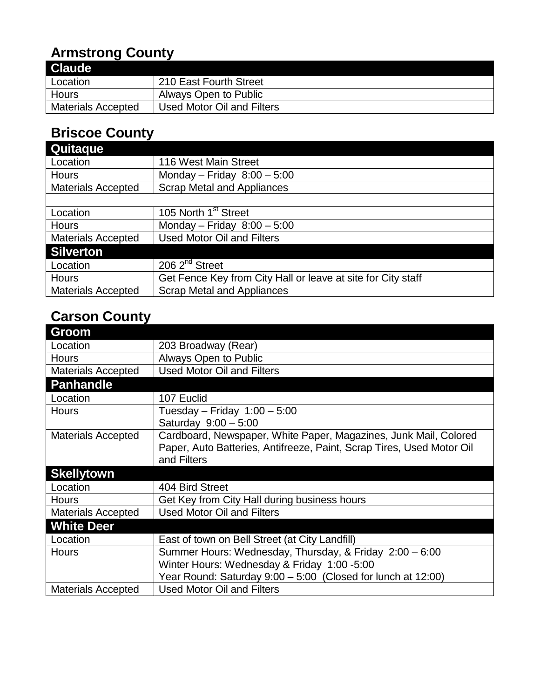# **Armstrong County**

| <b>Claude</b>             |                            |
|---------------------------|----------------------------|
| Location                  | 210 East Fourth Street     |
| Hours                     | Always Open to Public      |
| <b>Materials Accepted</b> | Used Motor Oil and Filters |

#### **Briscoe County**

| <b>Quitaque</b>           |                                                              |
|---------------------------|--------------------------------------------------------------|
| Location                  | 116 West Main Street                                         |
| <b>Hours</b>              | Monday - Friday $8:00 - 5:00$                                |
| <b>Materials Accepted</b> | <b>Scrap Metal and Appliances</b>                            |
|                           |                                                              |
| Location                  | 105 North 1 <sup>st</sup> Street                             |
| <b>Hours</b>              | Monday - Friday $8:00 - 5:00$                                |
| <b>Materials Accepted</b> | <b>Used Motor Oil and Filters</b>                            |
| <b>Silverton</b>          |                                                              |
| Location                  | 206 2 <sup>nd</sup> Street                                   |
| <b>Hours</b>              | Get Fence Key from City Hall or leave at site for City staff |
| <b>Materials Accepted</b> | <b>Scrap Metal and Appliances</b>                            |

## **Carson County**

| 203 Broadway (Rear)                                                   |
|-----------------------------------------------------------------------|
| Always Open to Public                                                 |
| <b>Used Motor Oil and Filters</b>                                     |
|                                                                       |
| 107 Euclid                                                            |
| Tuesday – Friday $1:00 - 5:00$                                        |
| Saturday 9:00 - 5:00                                                  |
| Cardboard, Newspaper, White Paper, Magazines, Junk Mail, Colored      |
| Paper, Auto Batteries, Antifreeze, Paint, Scrap Tires, Used Motor Oil |
| and Filters                                                           |
|                                                                       |
| 404 Bird Street                                                       |
| Get Key from City Hall during business hours                          |
| <b>Used Motor Oil and Filters</b>                                     |
|                                                                       |
| East of town on Bell Street (at City Landfill)                        |
| Summer Hours: Wednesday, Thursday, & Friday 2:00 - 6:00               |
| Winter Hours: Wednesday & Friday 1:00 -5:00                           |
| Year Round: Saturday 9:00 - 5:00 (Closed for lunch at 12:00)          |
| <b>Used Motor Oil and Filters</b>                                     |
|                                                                       |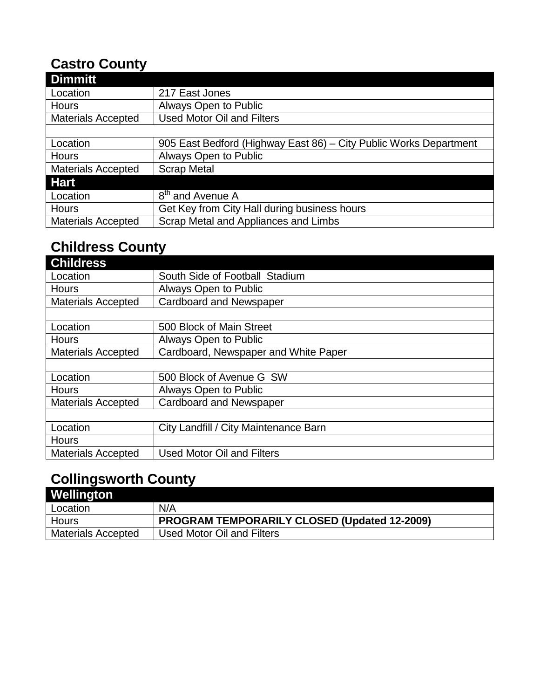#### **Castro County**

| <b>Dimmitt</b>            |                                                                   |
|---------------------------|-------------------------------------------------------------------|
| Location                  | 217 East Jones                                                    |
| <b>Hours</b>              | Always Open to Public                                             |
| <b>Materials Accepted</b> | <b>Used Motor Oil and Filters</b>                                 |
|                           |                                                                   |
| Location                  | 905 East Bedford (Highway East 86) – City Public Works Department |
| <b>Hours</b>              | Always Open to Public                                             |
| <b>Materials Accepted</b> | <b>Scrap Metal</b>                                                |
| <b>Hart</b>               |                                                                   |
| Location                  | 8 <sup>th</sup> and Avenue A                                      |
| <b>Hours</b>              | Get Key from City Hall during business hours                      |
| <b>Materials Accepted</b> | Scrap Metal and Appliances and Limbs                              |

# **Childress County**

| South Side of Football Stadium        |
|---------------------------------------|
| Always Open to Public                 |
| <b>Cardboard and Newspaper</b>        |
|                                       |
| 500 Block of Main Street              |
| Always Open to Public                 |
| Cardboard, Newspaper and White Paper  |
|                                       |
| 500 Block of Avenue G SW              |
| Always Open to Public                 |
| <b>Cardboard and Newspaper</b>        |
|                                       |
| City Landfill / City Maintenance Barn |
|                                       |
| <b>Used Motor Oil and Filters</b>     |
|                                       |

# **Collingsworth County**

| Wellington                |                                                     |
|---------------------------|-----------------------------------------------------|
| Location                  | N/A                                                 |
| Hours                     | <b>PROGRAM TEMPORARILY CLOSED (Updated 12-2009)</b> |
| <b>Materials Accepted</b> | Used Motor Oil and Filters                          |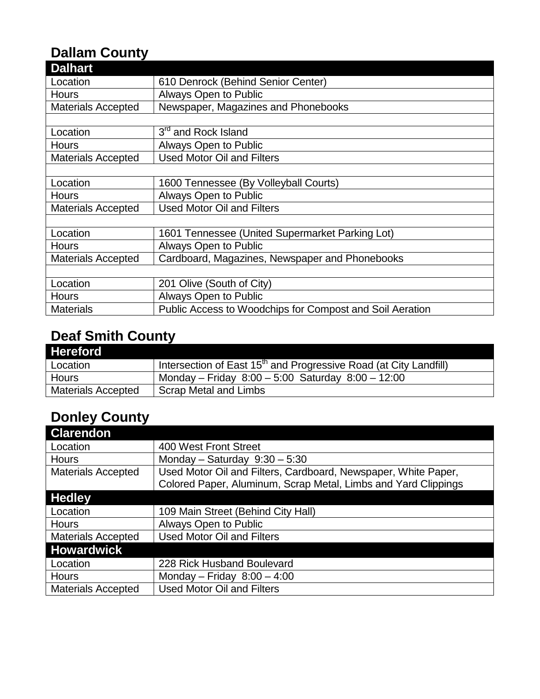# **Dallam County**

| <b>Dalhart</b>            |                                                          |
|---------------------------|----------------------------------------------------------|
| Location                  | 610 Denrock (Behind Senior Center)                       |
| <b>Hours</b>              | Always Open to Public                                    |
| <b>Materials Accepted</b> | Newspaper, Magazines and Phonebooks                      |
|                           |                                                          |
| Location                  | 3 <sup>rd</sup> and Rock Island                          |
| <b>Hours</b>              | <b>Always Open to Public</b>                             |
| <b>Materials Accepted</b> | <b>Used Motor Oil and Filters</b>                        |
|                           |                                                          |
| Location                  | 1600 Tennessee (By Volleyball Courts)                    |
| <b>Hours</b>              | <b>Always Open to Public</b>                             |
| <b>Materials Accepted</b> | <b>Used Motor Oil and Filters</b>                        |
|                           |                                                          |
| Location                  | 1601 Tennessee (United Supermarket Parking Lot)          |
| <b>Hours</b>              | Always Open to Public                                    |
| <b>Materials Accepted</b> | Cardboard, Magazines, Newspaper and Phonebooks           |
|                           |                                                          |
| Location                  | 201 Olive (South of City)                                |
| <b>Hours</b>              | <b>Always Open to Public</b>                             |
| <b>Materials</b>          | Public Access to Woodchips for Compost and Soil Aeration |

## **Deaf Smith County**

| <b>Hereford</b>           |                                                                               |
|---------------------------|-------------------------------------------------------------------------------|
| Location                  | Intersection of East 15 <sup>th</sup> and Progressive Road (at City Landfill) |
| Hours                     | Monday – Friday $8:00 - 5:00$ Saturday $8:00 - 12:00$                         |
| <b>Materials Accepted</b> | Scrap Metal and Limbs                                                         |

# **Donley County**

| <b>Clarendon</b>          |                                                                |
|---------------------------|----------------------------------------------------------------|
| Location                  | 400 West Front Street                                          |
| <b>Hours</b>              | Monday - Saturday $9:30 - 5:30$                                |
| <b>Materials Accepted</b> | Used Motor Oil and Filters, Cardboard, Newspaper, White Paper, |
|                           | Colored Paper, Aluminum, Scrap Metal, Limbs and Yard Clippings |
| <b>Hedley</b>             |                                                                |
| Location                  | 109 Main Street (Behind City Hall)                             |
| <b>Hours</b>              | Always Open to Public                                          |
| <b>Materials Accepted</b> | <b>Used Motor Oil and Filters</b>                              |
| <b>Howardwick</b>         |                                                                |
| Location                  | 228 Rick Husband Boulevard                                     |
| <b>Hours</b>              | Monday - Friday $8:00 - 4:00$                                  |
| <b>Materials Accepted</b> | <b>Used Motor Oil and Filters</b>                              |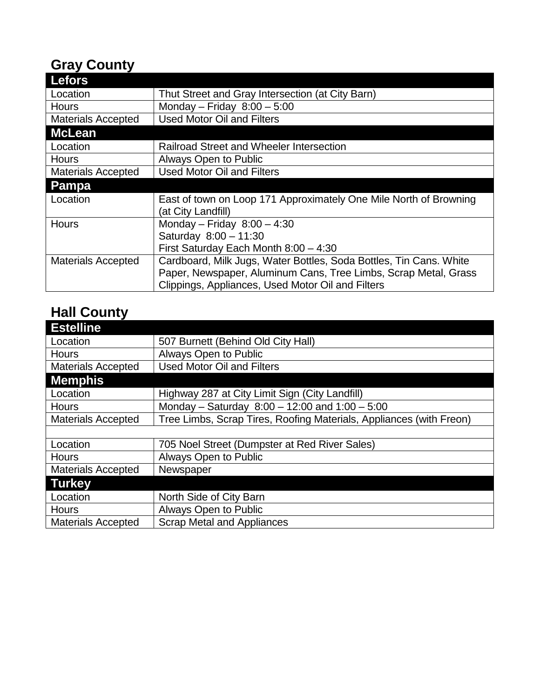# **Gray County**

| <b>Lefors</b>             |                                                                    |
|---------------------------|--------------------------------------------------------------------|
| Location                  | Thut Street and Gray Intersection (at City Barn)                   |
| <b>Hours</b>              | Monday - Friday $8:00 - 5:00$                                      |
| <b>Materials Accepted</b> | <b>Used Motor Oil and Filters</b>                                  |
| <b>McLean</b>             |                                                                    |
| Location                  | <b>Railroad Street and Wheeler Intersection</b>                    |
| <b>Hours</b>              | Always Open to Public                                              |
| <b>Materials Accepted</b> | <b>Used Motor Oil and Filters</b>                                  |
| Pampa                     |                                                                    |
| Location                  | East of town on Loop 171 Approximately One Mile North of Browning  |
|                           | (at City Landfill)                                                 |
| <b>Hours</b>              | Monday - Friday $8:00 - 4:30$                                      |
|                           | Saturday 8:00 - 11:30                                              |
|                           | First Saturday Each Month $8:00 - 4:30$                            |
| <b>Materials Accepted</b> | Cardboard, Milk Jugs, Water Bottles, Soda Bottles, Tin Cans. White |
|                           | Paper, Newspaper, Aluminum Cans, Tree Limbs, Scrap Metal, Grass    |
|                           | Clippings, Appliances, Used Motor Oil and Filters                  |

### **Hall County**

| <b>Estelline</b>          |                                                                     |
|---------------------------|---------------------------------------------------------------------|
| Location                  | 507 Burnett (Behind Old City Hall)                                  |
| <b>Hours</b>              | Always Open to Public                                               |
| <b>Materials Accepted</b> | <b>Used Motor Oil and Filters</b>                                   |
| <b>Memphis</b>            |                                                                     |
| Location                  | Highway 287 at City Limit Sign (City Landfill)                      |
| <b>Hours</b>              | Monday – Saturday $8:00 - 12:00$ and $1:00 - 5:00$                  |
| <b>Materials Accepted</b> | Tree Limbs, Scrap Tires, Roofing Materials, Appliances (with Freon) |
|                           |                                                                     |
| Location                  | 705 Noel Street (Dumpster at Red River Sales)                       |
| Hours                     | Always Open to Public                                               |
| <b>Materials Accepted</b> | Newspaper                                                           |
| <b>Turkey</b>             |                                                                     |
| Location                  | North Side of City Barn                                             |
| <b>Hours</b>              | Always Open to Public                                               |
| <b>Materials Accepted</b> | <b>Scrap Metal and Appliances</b>                                   |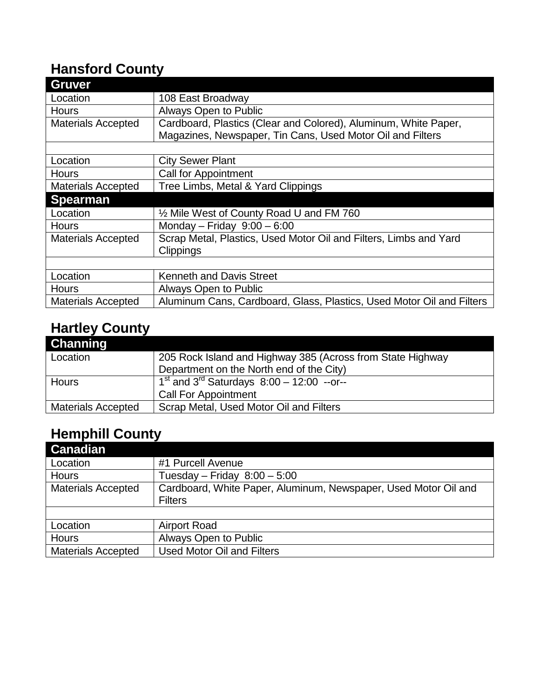#### **Hansford County**

| <b>Gruver</b>             |                                                                       |
|---------------------------|-----------------------------------------------------------------------|
| Location                  | 108 East Broadway                                                     |
| <b>Hours</b>              | Always Open to Public                                                 |
| <b>Materials Accepted</b> | Cardboard, Plastics (Clear and Colored), Aluminum, White Paper,       |
|                           | Magazines, Newspaper, Tin Cans, Used Motor Oil and Filters            |
|                           |                                                                       |
| Location                  | <b>City Sewer Plant</b>                                               |
| <b>Hours</b>              | <b>Call for Appointment</b>                                           |
| <b>Materials Accepted</b> | Tree Limbs, Metal & Yard Clippings                                    |
| <b>Spearman</b>           |                                                                       |
| Location                  | 1/2 Mile West of County Road U and FM 760                             |
| <b>Hours</b>              | Monday - Friday $9:00 - 6:00$                                         |
| <b>Materials Accepted</b> | Scrap Metal, Plastics, Used Motor Oil and Filters, Limbs and Yard     |
|                           | <b>Clippings</b>                                                      |
|                           |                                                                       |
| Location                  | <b>Kenneth and Davis Street</b>                                       |
| <b>Hours</b>              | Always Open to Public                                                 |
| <b>Materials Accepted</b> | Aluminum Cans, Cardboard, Glass, Plastics, Used Motor Oil and Filters |

# **Hartley County**

| Channing                  |                                                            |
|---------------------------|------------------------------------------------------------|
| Location                  | 205 Rock Island and Highway 385 (Across from State Highway |
|                           | Department on the North end of the City)                   |
| Hours                     | $1st$ and 3 <sup>rd</sup> Saturdays $8:00 - 12:00$ --or--  |
|                           | <b>Call For Appointment</b>                                |
| <b>Materials Accepted</b> | Scrap Metal, Used Motor Oil and Filters                    |

## **Hemphill County**

| #1 Purcell Avenue                                               |
|-----------------------------------------------------------------|
| Tuesday – Friday $8:00 - 5:00$                                  |
| Cardboard, White Paper, Aluminum, Newspaper, Used Motor Oil and |
| <b>Filters</b>                                                  |
|                                                                 |
| <b>Airport Road</b>                                             |
| Always Open to Public                                           |
| <b>Used Motor Oil and Filters</b>                               |
|                                                                 |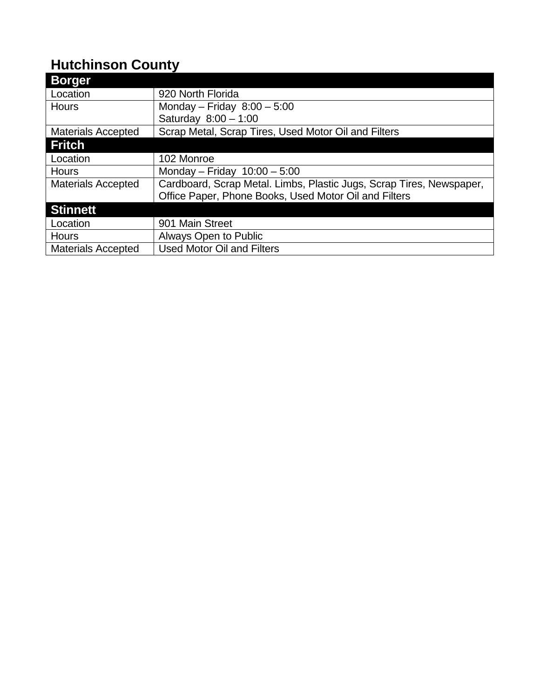## **Hutchinson County**

| <b>Borger</b>             |                                                                      |
|---------------------------|----------------------------------------------------------------------|
| Location                  | 920 North Florida                                                    |
| <b>Hours</b>              | Monday - Friday $8:00 - 5:00$                                        |
|                           | Saturday $8:00 - 1:00$                                               |
| <b>Materials Accepted</b> | Scrap Metal, Scrap Tires, Used Motor Oil and Filters                 |
| <b>Fritch</b>             |                                                                      |
| Location                  | 102 Monroe                                                           |
| <b>Hours</b>              | Monday - Friday $10:00 - 5:00$                                       |
| <b>Materials Accepted</b> | Cardboard, Scrap Metal. Limbs, Plastic Jugs, Scrap Tires, Newspaper, |
|                           | Office Paper, Phone Books, Used Motor Oil and Filters                |
| <b>Stinnett</b>           |                                                                      |
| Location                  | 901 Main Street                                                      |
| <b>Hours</b>              | Always Open to Public                                                |
| <b>Materials Accepted</b> | <b>Used Motor Oil and Filters</b>                                    |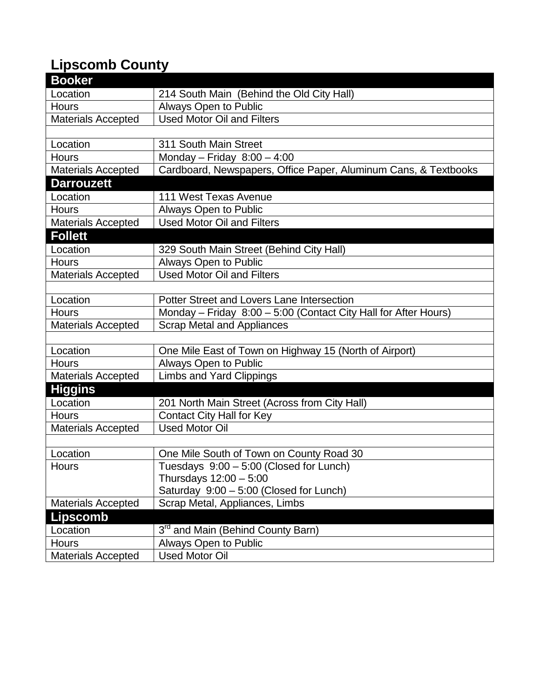# **Lipscomb County**

| <b>Booker</b>             |                                                                 |
|---------------------------|-----------------------------------------------------------------|
| Location                  | 214 South Main (Behind the Old City Hall)                       |
| Hours                     | Always Open to Public                                           |
| <b>Materials Accepted</b> | <b>Used Motor Oil and Filters</b>                               |
|                           |                                                                 |
| Location                  | 311 South Main Street                                           |
| Hours                     | Monday - Friday $8:00 - 4:00$                                   |
| <b>Materials Accepted</b> | Cardboard, Newspapers, Office Paper, Aluminum Cans, & Textbooks |
| <b>Darrouzett</b>         |                                                                 |
| Location                  | 111 West Texas Avenue                                           |
| Hours                     | Always Open to Public                                           |
| <b>Materials Accepted</b> | <b>Used Motor Oil and Filters</b>                               |
| <b>Follett</b>            |                                                                 |
| Location                  | 329 South Main Street (Behind City Hall)                        |
| <b>Hours</b>              | Always Open to Public                                           |
| <b>Materials Accepted</b> | <b>Used Motor Oil and Filters</b>                               |
|                           |                                                                 |
| Location                  | Potter Street and Lovers Lane Intersection                      |
| <b>Hours</b>              | Monday – Friday 8:00 – 5:00 (Contact City Hall for After Hours) |
| <b>Materials Accepted</b> | <b>Scrap Metal and Appliances</b>                               |
|                           |                                                                 |
| Location                  | One Mile East of Town on Highway 15 (North of Airport)          |
| Hours                     | Always Open to Public                                           |
| <b>Materials Accepted</b> | <b>Limbs and Yard Clippings</b>                                 |
| <b>Higgins</b>            |                                                                 |
| Location                  | 201 North Main Street (Across from City Hall)                   |
| <b>Hours</b>              | <b>Contact City Hall for Key</b>                                |
| <b>Materials Accepted</b> | <b>Used Motor Oil</b>                                           |
|                           |                                                                 |
| Location                  | One Mile South of Town on County Road 30                        |
| Hours                     | Tuesdays 9:00 - 5:00 (Closed for Lunch)                         |
|                           | Thursdays $12:00 - 5:00$                                        |
|                           | Saturday 9:00 - 5:00 (Closed for Lunch)                         |
| <b>Materials Accepted</b> | Scrap Metal, Appliances, Limbs                                  |
| <b>Lipscomb</b>           |                                                                 |
| Location                  | 3rd and Main (Behind County Barn)                               |
| <b>Hours</b>              | Always Open to Public                                           |
| <b>Materials Accepted</b> | <b>Used Motor Oil</b>                                           |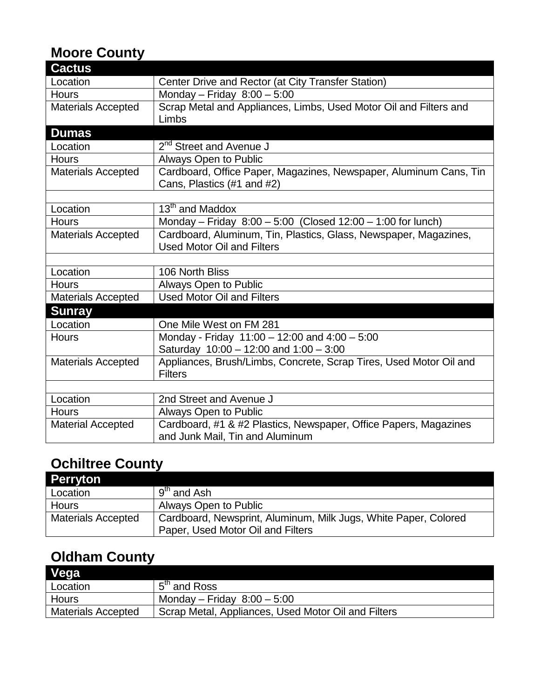### **Moore County**

| <b>Cactus</b>             |                                                                                                 |
|---------------------------|-------------------------------------------------------------------------------------------------|
| Location                  | Center Drive and Rector (at City Transfer Station)                                              |
| <b>Hours</b>              | Monday - Friday $8:00 - 5:00$                                                                   |
| <b>Materials Accepted</b> | Scrap Metal and Appliances, Limbs, Used Motor Oil and Filters and                               |
|                           | Limbs                                                                                           |
| <b>Dumas</b>              |                                                                                                 |
| Location                  | 2 <sup>nd</sup> Street and Avenue J                                                             |
| <b>Hours</b>              | Always Open to Public                                                                           |
| <b>Materials Accepted</b> | Cardboard, Office Paper, Magazines, Newspaper, Aluminum Cans, Tin<br>Cans, Plastics (#1 and #2) |
|                           |                                                                                                 |
| Location                  | 13 <sup>th</sup> and Maddox                                                                     |
| <b>Hours</b>              | Monday - Friday 8:00 - 5:00 (Closed 12:00 - 1:00 for lunch)                                     |
| <b>Materials Accepted</b> | Cardboard, Aluminum, Tin, Plastics, Glass, Newspaper, Magazines,                                |
|                           | <b>Used Motor Oil and Filters</b>                                                               |
|                           |                                                                                                 |
| Location                  | 106 North Bliss                                                                                 |
| <b>Hours</b>              | Always Open to Public                                                                           |
| <b>Materials Accepted</b> | <b>Used Motor Oil and Filters</b>                                                               |
| <b>Sunray</b>             |                                                                                                 |
| Location                  | One Mile West on FM 281                                                                         |
| <b>Hours</b>              | Monday - Friday $11:00 - 12:00$ and $4:00 - 5:00$                                               |
|                           | Saturday $10:00 - 12:00$ and $1:00 - 3:00$                                                      |
| <b>Materials Accepted</b> | Appliances, Brush/Limbs, Concrete, Scrap Tires, Used Motor Oil and                              |
|                           | <b>Filters</b>                                                                                  |
|                           |                                                                                                 |
| Location                  | 2nd Street and Avenue J                                                                         |
| <b>Hours</b>              | Always Open to Public                                                                           |
| <b>Material Accepted</b>  | Cardboard, #1 & #2 Plastics, Newspaper, Office Papers, Magazines                                |
|                           | and Junk Mail, Tin and Aluminum                                                                 |

#### **Ochiltree County**

| <b>Perryton</b>           |                                                                 |
|---------------------------|-----------------------------------------------------------------|
| Location                  | $9th$ and Ash                                                   |
| <b>Hours</b>              | Always Open to Public                                           |
| <b>Materials Accepted</b> | Cardboard, Newsprint, Aluminum, Milk Jugs, White Paper, Colored |
|                           | Paper, Used Motor Oil and Filters                               |

### **Oldham County**

| Vega                      |                                                     |
|---------------------------|-----------------------------------------------------|
| Location                  | 5 <sup>th</sup> and Ross                            |
| Hours                     | Monday – Friday $8:00 - 5:00$                       |
| <b>Materials Accepted</b> | Scrap Metal, Appliances, Used Motor Oil and Filters |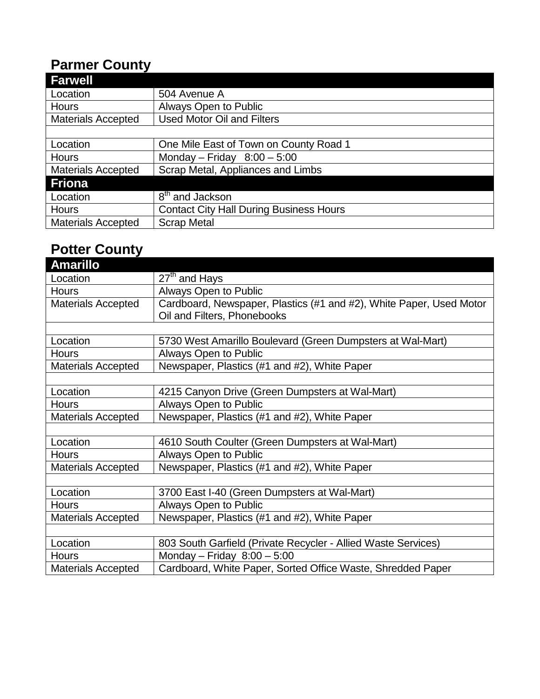### **Parmer County**

| <b>Farwell</b>            |                                                |
|---------------------------|------------------------------------------------|
| Location                  | 504 Avenue A                                   |
| <b>Hours</b>              | Always Open to Public                          |
| <b>Materials Accepted</b> | <b>Used Motor Oil and Filters</b>              |
|                           |                                                |
| Location                  | One Mile East of Town on County Road 1         |
| <b>Hours</b>              | Monday - Friday $8:00 - 5:00$                  |
| <b>Materials Accepted</b> | Scrap Metal, Appliances and Limbs              |
| <b>Friona</b>             |                                                |
| Location                  | 8 <sup>th</sup> and Jackson                    |
| <b>Hours</b>              | <b>Contact City Hall During Business Hours</b> |
| <b>Materials Accepted</b> | <b>Scrap Metal</b>                             |

#### **Potter County**

| <b>Amarillo</b>           |                                                                     |  |
|---------------------------|---------------------------------------------------------------------|--|
| Location                  | $\overline{27}$ <sup>th</sup> and Hays                              |  |
| <b>Hours</b>              | <b>Always Open to Public</b>                                        |  |
| <b>Materials Accepted</b> | Cardboard, Newspaper, Plastics (#1 and #2), White Paper, Used Motor |  |
|                           | Oil and Filters, Phonebooks                                         |  |
|                           |                                                                     |  |
| Location                  | 5730 West Amarillo Boulevard (Green Dumpsters at Wal-Mart)          |  |
| <b>Hours</b>              | <b>Always Open to Public</b>                                        |  |
| <b>Materials Accepted</b> | Newspaper, Plastics (#1 and #2), White Paper                        |  |
|                           |                                                                     |  |
| Location                  | 4215 Canyon Drive (Green Dumpsters at Wal-Mart)                     |  |
| <b>Hours</b>              | Always Open to Public                                               |  |
| <b>Materials Accepted</b> | Newspaper, Plastics (#1 and #2), White Paper                        |  |
|                           |                                                                     |  |
| Location                  | 4610 South Coulter (Green Dumpsters at Wal-Mart)                    |  |
| <b>Hours</b>              | Always Open to Public                                               |  |
| <b>Materials Accepted</b> | Newspaper, Plastics (#1 and #2), White Paper                        |  |
|                           |                                                                     |  |
| Location                  | 3700 East I-40 (Green Dumpsters at Wal-Mart)                        |  |
| <b>Hours</b>              | Always Open to Public                                               |  |
| <b>Materials Accepted</b> | Newspaper, Plastics (#1 and #2), White Paper                        |  |
|                           |                                                                     |  |
| Location                  | 803 South Garfield (Private Recycler - Allied Waste Services)       |  |
| <b>Hours</b>              | Monday - Friday $8:00 - 5:00$                                       |  |
| <b>Materials Accepted</b> | Cardboard, White Paper, Sorted Office Waste, Shredded Paper         |  |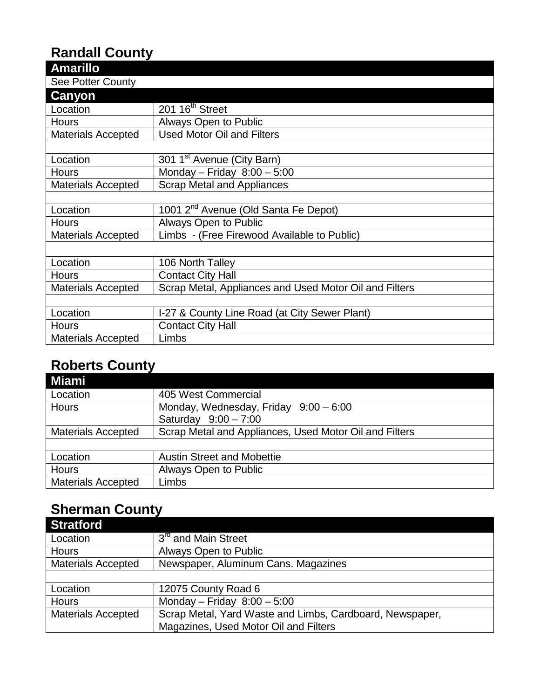## **Randall County**

| <b>Amarillo</b>           |                                                        |
|---------------------------|--------------------------------------------------------|
| <b>See Potter County</b>  |                                                        |
| Canyon                    |                                                        |
| Location                  | 201 16 <sup>th</sup> Street                            |
| <b>Hours</b>              | Always Open to Public                                  |
| <b>Materials Accepted</b> | <b>Used Motor Oil and Filters</b>                      |
|                           |                                                        |
| Location                  | 301 1 <sup>st</sup> Avenue (City Barn)                 |
| <b>Hours</b>              | Monday - Friday $8:00 - 5:00$                          |
| <b>Materials Accepted</b> | <b>Scrap Metal and Appliances</b>                      |
|                           |                                                        |
| Location                  | 1001 2 <sup>nd</sup> Avenue (Old Santa Fe Depot)       |
| <b>Hours</b>              | Always Open to Public                                  |
| <b>Materials Accepted</b> | Limbs - (Free Firewood Available to Public)            |
|                           |                                                        |
| Location                  | 106 North Talley                                       |
| <b>Hours</b>              | <b>Contact City Hall</b>                               |
| <b>Materials Accepted</b> | Scrap Metal, Appliances and Used Motor Oil and Filters |
|                           |                                                        |
| Location                  | I-27 & County Line Road (at City Sewer Plant)          |
| <b>Hours</b>              | <b>Contact City Hall</b>                               |
| <b>Materials Accepted</b> | Limbs                                                  |

#### **Roberts County**

| Miami                     |                                                        |
|---------------------------|--------------------------------------------------------|
| Location                  | 405 West Commercial                                    |
| Hours                     | Monday, Wednesday, Friday 9:00 - 6:00                  |
|                           | Saturday 9:00 - 7:00                                   |
| <b>Materials Accepted</b> | Scrap Metal and Appliances, Used Motor Oil and Filters |
|                           |                                                        |
| Location                  | <b>Austin Street and Mobettie</b>                      |
| Hours                     | Always Open to Public                                  |
| <b>Materials Accepted</b> | Limbs                                                  |

# **Sherman County**

| <b>Stratford</b>          |                                                          |
|---------------------------|----------------------------------------------------------|
| Location                  | 3 <sup>rd</sup> and Main Street                          |
| <b>Hours</b>              | Always Open to Public                                    |
| <b>Materials Accepted</b> | Newspaper, Aluminum Cans. Magazines                      |
|                           |                                                          |
| Location                  | 12075 County Road 6                                      |
| <b>Hours</b>              | Monday - Friday $8:00 - 5:00$                            |
| <b>Materials Accepted</b> | Scrap Metal, Yard Waste and Limbs, Cardboard, Newspaper, |
|                           | Magazines, Used Motor Oil and Filters                    |